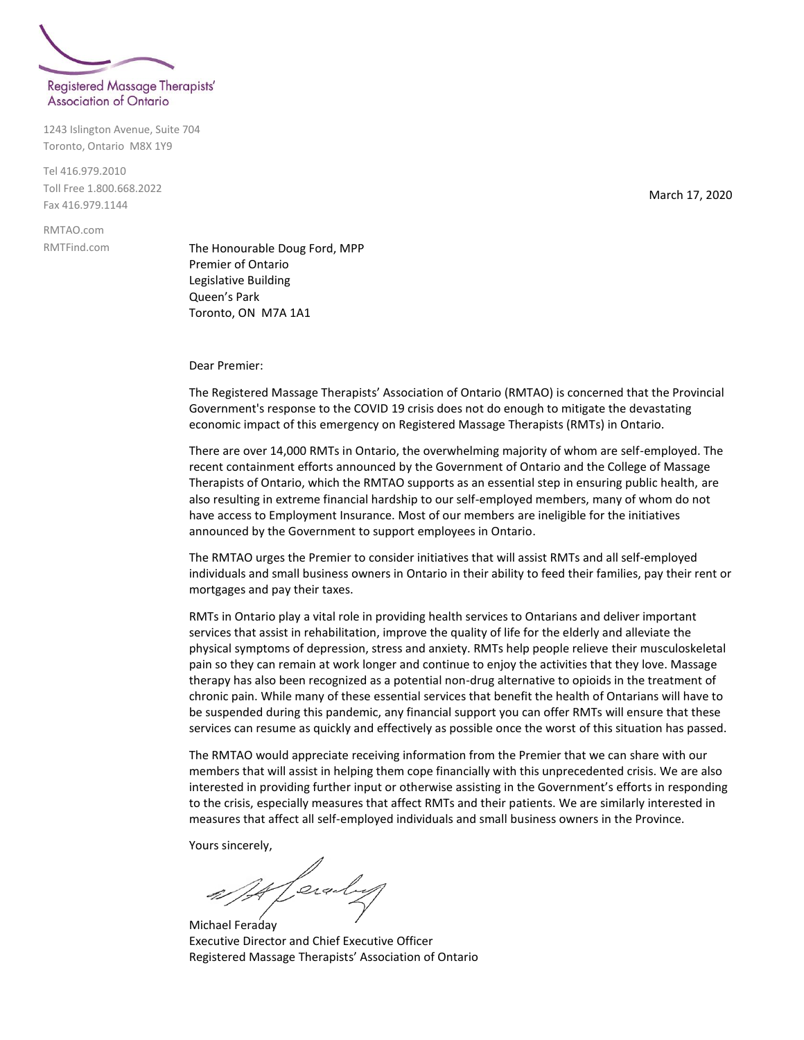

1243 Islington Avenue, Suite 704 Toronto, Ontario M8X 1Y9

Tel 416.979.2010 Toll Free 1.800.668.2022 Fax 416.979.1144

RMTAO.com RMTFind.com

The Honourable Doug Ford, MPP Premier of Ontario Legislative Building Queen's Park Toronto, ON M7A 1A1

Dear Premier:

The Registered Massage Therapists' Association of Ontario (RMTAO) is concerned that the Provincial Government's response to the COVID 19 crisis does not do enough to mitigate the devastating economic impact of this emergency on Registered Massage Therapists (RMTs) in Ontario.

There are over 14,000 RMTs in Ontario, the overwhelming majority of whom are self-employed. The recent containment efforts announced by the Government of Ontario and the College of Massage Therapists of Ontario, which the RMTAO supports as an essential step in ensuring public health, are also resulting in extreme financial hardship to our self-employed members, many of whom do not have access to Employment Insurance. Most of our members are ineligible for the initiatives announced by the Government to support employees in Ontario.

The RMTAO urges the Premier to consider initiatives that will assist RMTs and all self-employed individuals and small business owners in Ontario in their ability to feed their families, pay their rent or mortgages and pay their taxes.

RMTs in Ontario play a vital role in providing health services to Ontarians and deliver important services that assist in rehabilitation, improve the quality of life for the elderly and alleviate the physical symptoms of depression, stress and anxiety. RMTs help people relieve their musculoskeletal pain so they can remain at work longer and continue to enjoy the activities that they love. Massage therapy has also been recognized as a potential non-drug alternative to opioids in the treatment of chronic pain. While many of these essential services that benefit the health of Ontarians will have to be suspended during this pandemic, any financial support you can offer RMTs will ensure that these services can resume as quickly and effectively as possible once the worst of this situation has passed.

The RMTAO would appreciate receiving information from the Premier that we can share with our members that will assist in helping them cope financially with this unprecedented crisis. We are also interested in providing further input or otherwise assisting in the Government's efforts in responding to the crisis, especially measures that affect RMTs and their patients. We are similarly interested in measures that affect all self-employed individuals and small business owners in the Province.

Yours sincerely,

It Ceraly

Michael Feraday Executive Director and Chief Executive Officer Registered Massage Therapists' Association of Ontario

March 17, 2020